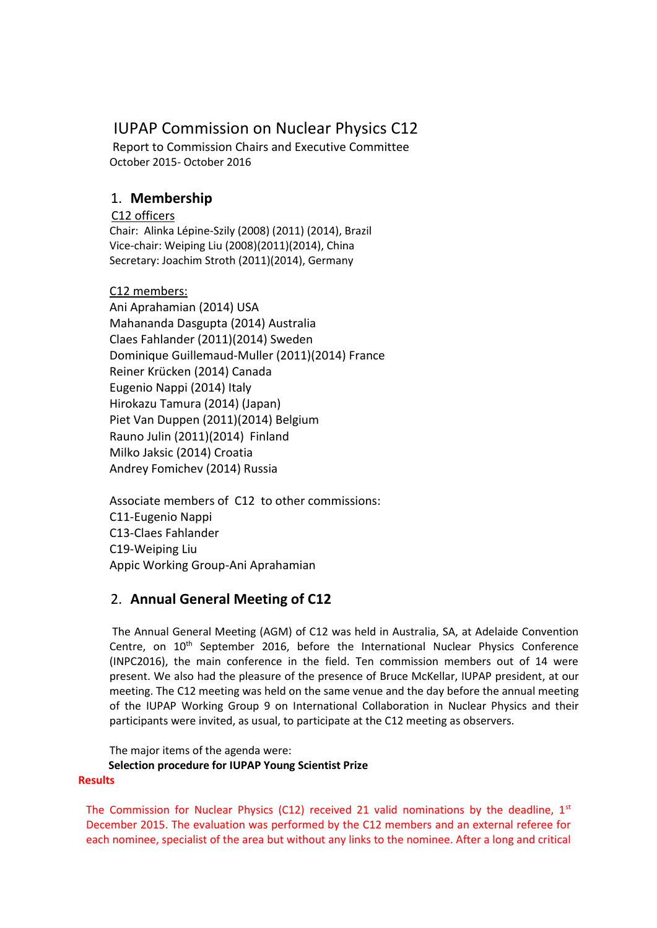# IUPAP Commission on Nuclear Physics C12

Report to Commission Chairs and Executive Committee October 2015- October 2016

# 1. **Membership**

# C12 officers

Chair: Alinka Lépine-Szily (2008) (2011) (2014), Brazil Vice-chair: Weiping Liu (2008)(2011)(2014), China Secretary: Joachim Stroth (2011)(2014), Germany

# C12 members:

Ani Aprahamian (2014) USA Mahananda Dasgupta (2014) Australia Claes Fahlander (2011)(2014) Sweden Dominique Guillemaud-Muller (2011)(2014) France Reiner Krücken (2014) Canada Eugenio Nappi (2014) Italy Hirokazu Tamura (2014) (Japan) Piet Van Duppen (2011)(2014) Belgium Rauno Julin (2011)(2014) Finland Milko Jaksic (2014) Croatia Andrey Fomichev (2014) Russia

Associate members of C12 to other commissions: C11-Eugenio Nappi C13-Claes Fahlander C19-Weiping Liu Appic Working Group-Ani Aprahamian

# 2. **Annual General Meeting of C12**

The Annual General Meeting (AGM) of C12 was held in Australia, SA, at Adelaide Convention Centre, on  $10^{th}$  September 2016, before the International Nuclear Physics Conference (INPC2016), the main conference in the field. Ten commission members out of 14 were present. We also had the pleasure of the presence of Bruce McKellar, IUPAP president, at our meeting. The C12 meeting was held on the same venue and the day before the annual meeting of the IUPAP Working Group 9 on International Collaboration in Nuclear Physics and their participants were invited, as usual, to participate at the C12 meeting as observers.

The major items of the agenda were: **Selection procedure for IUPAP Young Scientist Prize Results**

The Commission for Nuclear Physics (C12) received 21 valid nominations by the deadline,  $1^{st}$ December 2015. The evaluation was performed by the C12 members and an external referee for each nominee, specialist of the area but without any links to the nominee. After a long and critical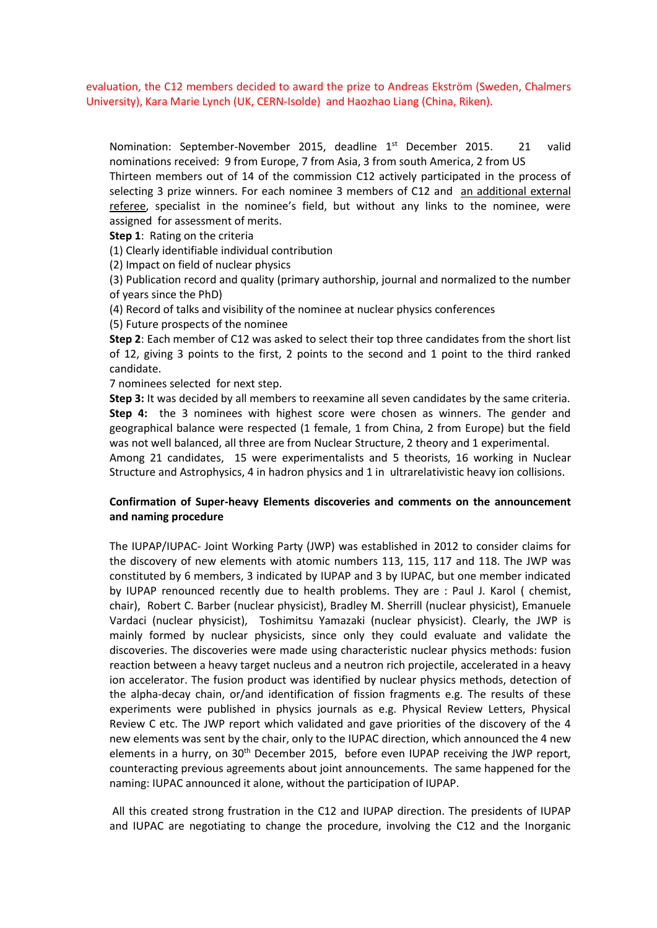evaluation, the C12 members decided to award the prize to Andreas Ekström (Sweden, Chalmers University), Kara Marie Lynch (UK, CERN-Isolde) and Haozhao Liang (China, Riken).

Nomination: September-November 2015, deadline 1st December 2015. 21 valid nominations received: 9 from Europe, 7 from Asia, 3 from south America, 2 from US Thirteen members out of 14 of the commission C12 actively participated in the process of selecting 3 prize winners. For each nominee 3 members of C12 and an additional external referee, specialist in the nominee's field, but without any links to the nominee, were assigned for assessment of merits.

**Step 1**: Rating on the criteria

(1) Clearly identifiable individual contribution

(2) Impact on field of nuclear physics

(3) Publication record and quality (primary authorship, journal and normalized to the number of years since the PhD)

(4) Record of talks and visibility of the nominee at nuclear physics conferences

(5) Future prospects of the nominee

**Step 2**: Each member of C12 was asked to select their top three candidates from the short list of 12, giving 3 points to the first, 2 points to the second and 1 point to the third ranked candidate.

7 nominees selected for next step.

**Step 3:** It was decided by all members to reexamine all seven candidates by the same criteria. **Step 4:** the 3 nominees with highest score were chosen as winners. The gender and geographical balance were respected (1 female, 1 from China, 2 from Europe) but the field was not well balanced, all three are from Nuclear Structure, 2 theory and 1 experimental. Among 21 candidates, 15 were experimentalists and 5 theorists, 16 working in Nuclear Structure and Astrophysics, 4 in hadron physics and 1 in ultrarelativistic heavy ion collisions.

# **Confirmation of Super-heavy Elements discoveries and comments on the announcement and naming procedure**

The IUPAP/IUPAC- Joint Working Party (JWP) was established in 2012 to consider claims for the discovery of new elements with atomic numbers 113, 115, 117 and 118. The JWP was constituted by 6 members, 3 indicated by IUPAP and 3 by IUPAC, but one member indicated by IUPAP renounced recently due to health problems. They are : Paul [J. Karol](mailto:pk03@andrew.cmu.edu) ( chemist, chair), Robert C. Barber (nuclear physicist), Bradley M. Sherrill (nuclear physicist), Emanuele Vardaci (nuclear physicist), Toshimitsu Yamazaki (nuclear physicist). Clearly, the JWP is mainly formed by nuclear physicists, since only they could evaluate and validate the discoveries. The discoveries were made using characteristic nuclear physics methods: fusion reaction between a heavy target nucleus and a neutron rich projectile, accelerated in a heavy ion accelerator. The fusion product was identified by nuclear physics methods, detection of the alpha-decay chain, or/and identification of fission fragments e.g. The results of these experiments were published in physics journals as e.g. Physical Review Letters, Physical Review C etc. The JWP report which validated and gave priorities of the discovery of the 4 new elements was sent by the chair, only to the IUPAC direction, which announced the 4 new elements in a hurry, on  $30<sup>th</sup>$  December 2015, before even IUPAP receiving the JWP report, counteracting previous agreements about joint announcements. The same happened for the naming: IUPAC announced it alone, without the participation of IUPAP.

All this created strong frustration in the C12 and IUPAP direction. The presidents of IUPAP and IUPAC are negotiating to change the procedure, involving the C12 and the Inorganic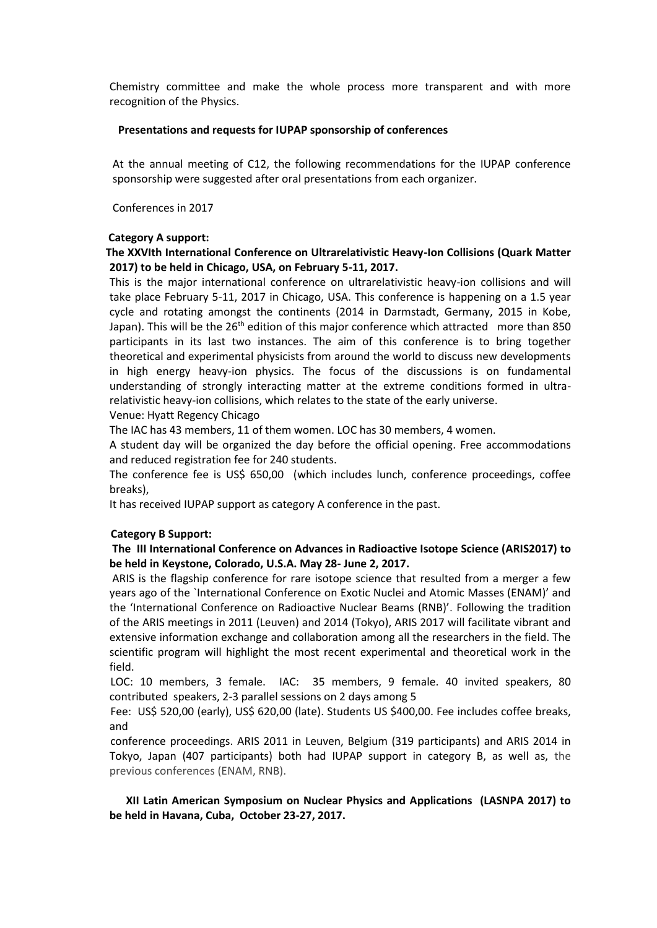Chemistry committee and make the whole process more transparent and with more recognition of the Physics.

#### **Presentations and requests for IUPAP sponsorship of conferences**

At the annual meeting of C12, the following recommendations for the IUPAP conference sponsorship were suggested after oral presentations from each organizer.

Conferences in 2017

#### **Category A support:**

### **The XXVIth International Conference on Ultrarelativistic Heavy-Ion Collisions (Quark Matter 2017) to be held in Chicago, USA, on February 5-11, 2017.**

This is the major international conference on ultrarelativistic heavy-ion collisions and will take place February 5-11, 2017 in Chicago, USA. This conference is happening on a 1.5 year cycle and rotating amongst the continents (2014 in Darmstadt, Germany, 2015 in Kobe, Japan). This will be the  $26<sup>th</sup>$  edition of this major conference which attracted more than 850 participants in its last two instances. The aim of this conference is to bring together theoretical and experimental physicists from around the world to discuss new developments in high energy heavy-ion physics. The focus of the discussions is on fundamental understanding of strongly interacting matter at the extreme conditions formed in ultrarelativistic heavy-ion collisions, which relates to the state of the early universe.

Venue: Hyatt Regency Chicago

The IAC has 43 members, 11 of them women. LOC has 30 members, 4 women.

A student day will be organized the day before the official opening. Free accommodations and reduced registration fee for 240 students.

The conference fee is US\$ 650,00 (which includes lunch, conference proceedings, coffee breaks),

It has received IUPAP support as category A conference in the past.

### **Category B Support:**

# **The III International Conference on Advances in Radioactive Isotope Science (ARIS2017) to be held in Keystone, Colorado, U.S.A. May 28- June 2, 2017.**

ARIS is the flagship conference for rare isotope science that resulted from a merger a few years ago of the `International Conference on Exotic Nuclei and Atomic Masses (ENAM)' and the 'International Conference on Radioactive Nuclear Beams (RNB)'. Following the tradition of the ARIS meetings in 2011 (Leuven) and 2014 (Tokyo), ARIS 2017 will facilitate vibrant and extensive information exchange and collaboration among all the researchers in the field. The scientific program will highlight the most recent experimental and theoretical work in the field.

 LOC: 10 members, 3 female. IAC: 35 members, 9 female. 40 invited speakers, 80 contributed speakers, 2-3 parallel sessions on 2 days among 5

 Fee: US\$ 520,00 (early), US\$ 620,00 (late). Students US \$400,00. Fee includes coffee breaks, and

 conference proceedings. ARIS 2011 in Leuven, Belgium (319 participants) and ARIS 2014 in Tokyo, Japan (407 participants) both had IUPAP support in category B, as well as, the previous conferences (ENAM, RNB).

 **XII Latin American Symposium on Nuclear Physics and Applications (LASNPA 2017) to be held in Havana, Cuba, October 23-27, 2017.**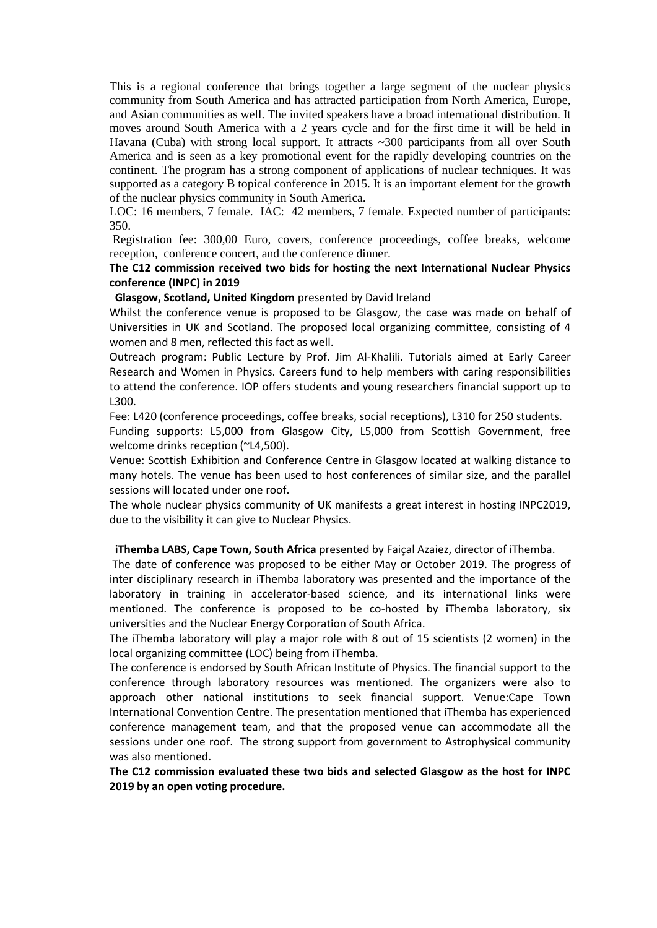This is a regional conference that brings together a large segment of the nuclear physics community from South America and has attracted participation from North America, Europe, and Asian communities as well. The invited speakers have a broad international distribution. It moves around South America with a 2 years cycle and for the first time it will be held in Havana (Cuba) with strong local support. It attracts ~300 participants from all over South America and is seen as a key promotional event for the rapidly developing countries on the continent. The program has a strong component of applications of nuclear techniques. It was supported as a category B topical conference in 2015. It is an important element for the growth of the nuclear physics community in South America.

LOC: 16 members, 7 female. IAC: 42 members, 7 female. Expected number of participants: 350.

Registration fee: 300,00 Euro, covers, conference proceedings, coffee breaks, welcome reception, conference concert, and the conference dinner.

# **The C12 commission received two bids for hosting the next International Nuclear Physics conference (INPC) in 2019**

**Glasgow, Scotland, United Kingdom** presented by David Ireland

Whilst the conference venue is proposed to be Glasgow, the case was made on behalf of Universities in UK and Scotland. The proposed local organizing committee, consisting of 4 women and 8 men, reflected this fact as well.

Outreach program: Public Lecture by Prof. Jim Al-Khalili. Tutorials aimed at Early Career Research and Women in Physics. Careers fund to help members with caring responsibilities to attend the conference. IOP offers students and young researchers financial support up to L300.

Fee: L420 (conference proceedings, coffee breaks, social receptions), L310 for 250 students. Funding supports: L5,000 from Glasgow City, L5,000 from Scottish Government, free welcome drinks reception (~L4,500).

Venue: Scottish Exhibition and Conference Centre in Glasgow located at walking distance to many hotels. The venue has been used to host conferences of similar size, and the parallel sessions will located under one roof.

The whole nuclear physics community of UK manifests a great interest in hosting INPC2019, due to the visibility it can give to Nuclear Physics.

#### **iThemba LABS, Cape Town, South Africa** presented by Faiçal Azaiez, director of iThemba.

The date of conference was proposed to be either May or October 2019. The progress of inter disciplinary research in iThemba laboratory was presented and the importance of the laboratory in training in accelerator-based science, and its international links were mentioned. The conference is proposed to be co-hosted by iThemba laboratory, six universities and the Nuclear Energy Corporation of South Africa.

The iThemba laboratory will play a major role with 8 out of 15 scientists (2 women) in the local organizing committee (LOC) being from iThemba.

The conference is endorsed by South African Institute of Physics. The financial support to the conference through laboratory resources was mentioned. The organizers were also to approach other national institutions to seek financial support. Venue:Cape Town International Convention Centre. The presentation mentioned that iThemba has experienced conference management team, and that the proposed venue can accommodate all the sessions under one roof. The strong support from government to Astrophysical community was also mentioned.

**The C12 commission evaluated these two bids and selected Glasgow as the host for INPC 2019 by an open voting procedure.**